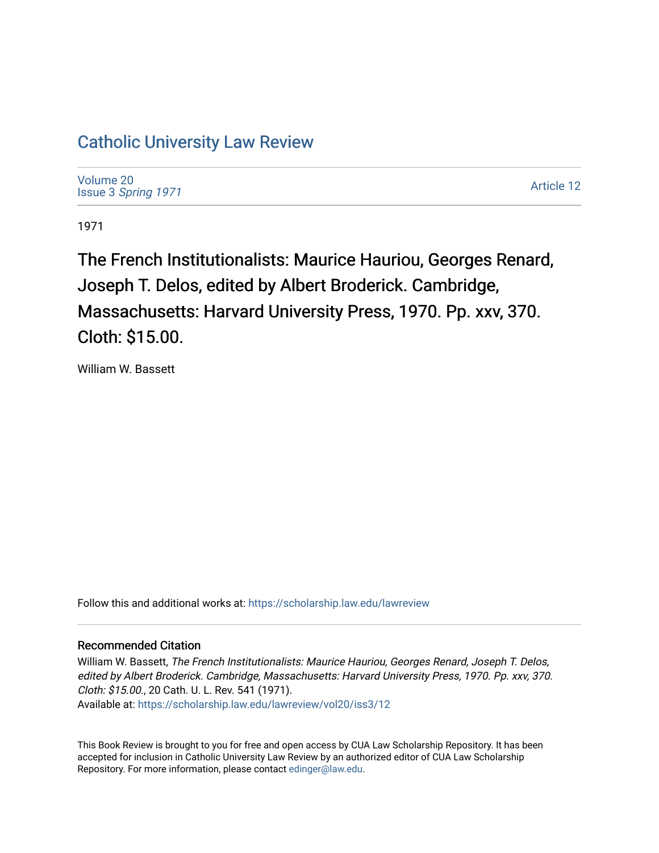# [Catholic University Law Review](https://scholarship.law.edu/lawreview)

[Volume 20](https://scholarship.law.edu/lawreview/vol20) Issue 3 [Spring 1971](https://scholarship.law.edu/lawreview/vol20/iss3) 

[Article 12](https://scholarship.law.edu/lawreview/vol20/iss3/12) 

1971

The French Institutionalists: Maurice Hauriou, Georges Renard, Joseph T. Delos, edited by Albert Broderick. Cambridge, Massachusetts: Harvard University Press, 1970. Pp. xxv, 370. Cloth: \$15.00.

William W. Bassett

Follow this and additional works at: [https://scholarship.law.edu/lawreview](https://scholarship.law.edu/lawreview?utm_source=scholarship.law.edu%2Flawreview%2Fvol20%2Fiss3%2F12&utm_medium=PDF&utm_campaign=PDFCoverPages)

#### Recommended Citation

William W. Bassett, The French Institutionalists: Maurice Hauriou, Georges Renard, Joseph T. Delos, edited by Albert Broderick. Cambridge, Massachusetts: Harvard University Press, 1970. Pp. xxv, 370. Cloth: \$15.00., 20 Cath. U. L. Rev. 541 (1971). Available at: [https://scholarship.law.edu/lawreview/vol20/iss3/12](https://scholarship.law.edu/lawreview/vol20/iss3/12?utm_source=scholarship.law.edu%2Flawreview%2Fvol20%2Fiss3%2F12&utm_medium=PDF&utm_campaign=PDFCoverPages) 

This Book Review is brought to you for free and open access by CUA Law Scholarship Repository. It has been accepted for inclusion in Catholic University Law Review by an authorized editor of CUA Law Scholarship Repository. For more information, please contact [edinger@law.edu.](mailto:edinger@law.edu)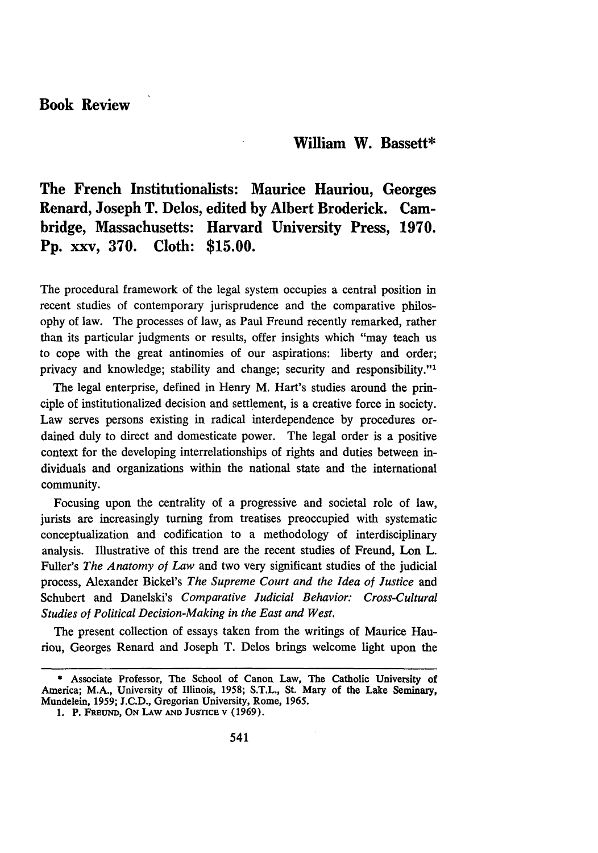### **Book Review**

#### **William W. Bassett\***

## **The French Institutionalists: Maurice Hauriou, Georges Renard, Joseph T. Delos, edited by Albert Broderick. Cambridge, Massachusetts: Harvard University Press, 1970. Pp. xxv, 370. Cloth: \$15.00.**

The procedural framework of the legal system occupies a central position in recent studies of contemporary jurisprudence and the comparative philosophy of law. The processes of law, as Paul Freund recently remarked, rather than its particular judgments or results, offer insights which "may teach us to cope with the great antinomies of our aspirations: liberty and order; privacy and knowledge; stability and change; security and responsibility."'

The legal enterprise, defined in Henry M. Hart's studies around the principle of institutionalized decision and settlement, is a creative force in society. Law serves persons existing in radical interdependence by procedures ordained duly to direct and domesticate power. The legal order is a positive context for the developing interrelationships of rights and duties between individuals and organizations within the national state and the international community.

Focusing upon the centrality of a progressive and societal role of law, jurists are increasingly turning from treatises preoccupied with systematic conceptualization and codification to a methodology of interdisciplinary analysis. Illustrative of this trend are the recent studies of Freund, Lon L. Fuller's *The Anatomy of Law* and two very significant studies of the judicial process, Alexander Bickel's *The Supreme Court and the Idea of Justice and* Schubert and Danelski's *Comparative Judicial Behavior: Cross-Cultural Studies of Political Decision-Making in the East and West.*

The present collection of essays taken from the writings of Maurice Hauriou, Georges Renard and Joseph T. Delos brings welcome light upon the

**<sup>\*</sup> Associate Professor, The School of Canon Law, The Catholic University of America; M.A., University of Illinois, 1958; S.T.L., St. Mary of the Lake Seminary, Mundelein, 1959; J.C.D., Gregorian University, Rome, 1965.**

**<sup>1.</sup> P. FREuND, ON LAW AND JUSTICE V (1969).**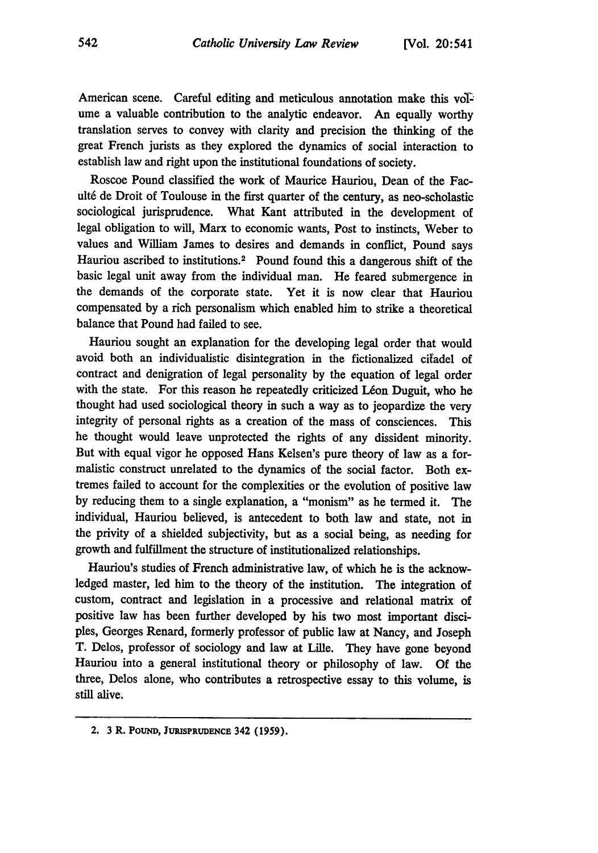American scene. Careful editing and meticulous annotation make this voTume a valuable contribution to the analytic endeavor. An equally worthy translation serves to convey with clarity and precision the thinking of the great French jurists as they explored the dynamics of social interaction to establish law and right upon the institutional foundations of society.

Roscoe Pound classified the work of Maurice Hauriou, Dean of the Facult6 de Droit of Toulouse in the first quarter of the century, as neo-scholastic sociological jurisprudence. What Kant attributed in the development of legal obligation to will, Marx to economic wants, Post to instincts, Weber to values and William James to desires and demands in conflict, Pound says Hauriou ascribed to institutions.2 Pound found this a dangerous shift of the basic legal unit away from the individual man. He feared submergence in the demands of the corporate state. Yet it is now clear that Hauriou compensated by a rich personalism which enabled him to strike a theoretical balance that Pound had failed to see.

Hauriou sought an explanation for the developing legal order that would avoid both an individualistic disintegration in the fictionalized citadel of contract and denigration of legal personality by the equation of legal order with the state. For this reason he repeatedly criticized Léon Duguit, who he thought had used sociological theory in such a way as to jeopardize the very integrity of personal rights as a creation of the mass of consciences. This he thought would leave unprotected the rights of any dissident minority. But with equal vigor he opposed Hans Kelsen's pure theory of law as a formalistic construct unrelated to the dynamics of the social factor. Both extremes failed to account for the complexities or the evolution of positive law by reducing them to a single explanation, a "monism" as he termed it. The individual, Hauriou believed, is antecedent to both law and state, not in the privity of a shielded subjectivity, but as a social being, as needing for growth and fulfillment the structure of institutionalized relationships.

Hauriou's studies of French administrative law, of which he is the acknowledged master, led him to the theory of the institution. The integration of custom, contract and legislation in a processive and relational matrix of positive law has been further developed by his two most important disciples, Georges Renard, formerly professor of public law at Nancy, and Joseph T. Delos, professor of sociology and law at Lille. They have gone beyond Hauriou into a general institutional theory or philosophy of law. Of the three, Delos alone, who contributes a retrospective essay to this volume, is still alive.

**<sup>2. 3</sup> R. POUND, JURISPRUDENCE 342 (1959).**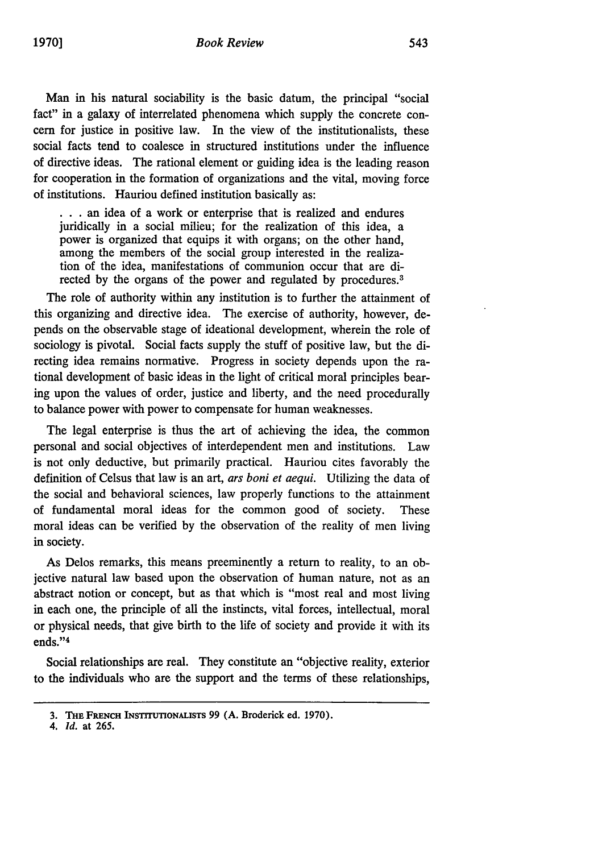Man in his natural sociability is the basic datum, the principal "social fact" in a galaxy of interrelated phenomena which supply the concrete concern for justice in positive law. In the view of the institutionalists, these social facts tend to coalesce in structured institutions under the influence of directive ideas. The rational element or guiding idea is the leading reason for cooperation in the formation of organizations and the vital, moving force of institutions. Hauriou defined institution basically as:

... an idea of a work or enterprise that is realized and endures juridically in a social milieu; for the realization of this idea, a power is organized that equips it with organs; on the other hand, among the members of the social group interested in the realization of the idea, manifestations of communion occur that are directed by the organs of the power and regulated by procedures.<sup>3</sup>

The role of authority within any institution is to further the attainment of this organizing and directive idea. The exercise of authority, however, depends on the observable stage of ideational development, wherein the role of sociology is pivotal. Social facts supply the stuff of positive law, but the directing idea remains normative. Progress in society depends upon the rational development of basic ideas in the light of critical moral principles bearing upon the values of order, justice and liberty, and the need procedurally to balance power with power to compensate for human weaknesses.

The legal enterprise is thus the art of achieving the idea, the common personal and social objectives of interdependent men and institutions. Law is not only deductive, but primarily practical. Hauriou cites favorably the definition of Celsus that law is an art, *ars boni et aequi.* Utilizing the data of the social and behavioral sciences, law properly functions to the attainment of fundamental moral ideas for the common good of society. These moral ideas can be verified by the observation of the reality of men living in society.

As Delos remarks, this means preeminently a return to reality, to an objective natural law based upon the observation of human nature, not as an abstract notion or concept, but as that which is "most real and most living in each one, the principle of all the instincts, vital forces, intellectual, moral or physical needs, that give birth to the life of society and provide it with its ends."4

Social relationships are real. They constitute an "objective reality, exterior to the individuals who are the support and the terms of these relationships,

**<sup>3.</sup>** THu **FRENCH INSTrrUTIONALISTS 99 (A.** Broderick **ed. 1970).**

*<sup>4.</sup> Id.* at 265.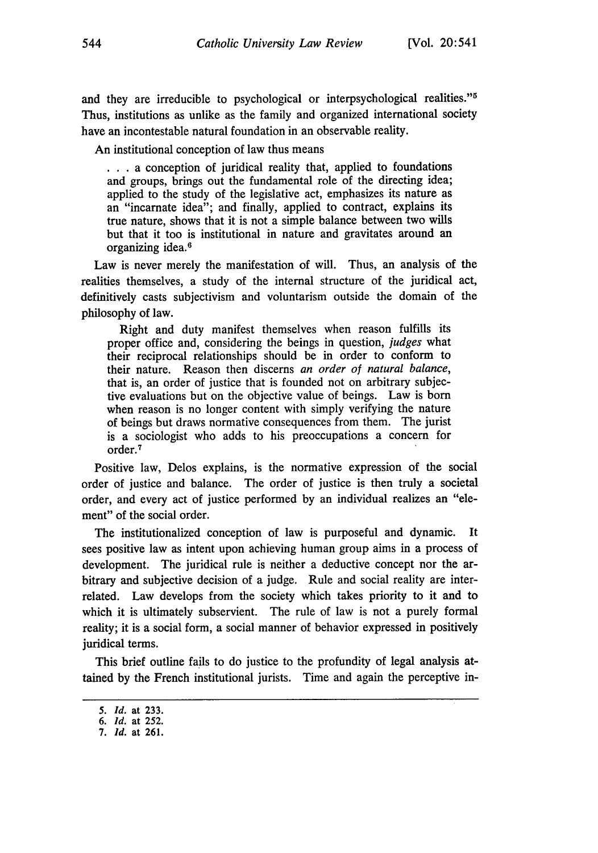and they are irreducible to psychological or interpsychological realities."<sup>5</sup> Thus, institutions as unlike as the family and organized international society have an incontestable natural foundation in an observable reality.

An institutional conception of law thus means

\* **. .** a conception of juridical reality that, applied to foundations and groups, brings out the fundamental role of the directing idea; applied to the study of the legislative act, emphasizes its nature as an "incarnate idea"; and finally, applied to contract, explains its true nature, shows that it is not a simple balance between two wills but that it too is institutional in nature and gravitates around an organizing idea.<sup>6</sup>

Law is never merely the manifestation of will. Thus, an analysis of the realities themselves, a study of the internal structure of the juridical act, definitively casts subjectivism and voluntarism outside the domain of the philosophy of law.

Right and duty manifest themselves when reason fulfills its proper office and, considering the beings in question, *judges* what their reciprocal relationships should be in order to conform to their nature. Reason then discerns *an order of natural balance,* that is, an order of justice that is founded not on arbitrary subjective evaluations but on the objective value of beings. Law is born when reason is no longer content with simply verifying the nature of beings but draws normative consequences from them. The jurist is a sociologist who adds to his preoccupations a concern for order.<sup>7</sup>

Positive law, Delos explains, is the normative expression of the social order of justice and balance. The order of justice is then truly a societal order, and every act of justice performed by an individual realizes an "element" of the social order.

The institutionalized conception of law is purposeful and dynamic. It sees positive law as intent upon achieving human group aims in a process of development. The juridical rule is neither a deductive concept nor the arbitrary and subjective decision of a judge. Rule and social reality are interrelated. Law develops from the society which takes priority to it and to which it is ultimately subservient. The rule of law is not a purely formal reality; it is a social form, a social manner of behavior expressed in positively juridical terms.

This brief outline fails to do justice to the profundity of legal analysis attained by the French institutional jurists. Time and again the perceptive in-

*<sup>5.</sup> Id.* at 233.

*<sup>6.</sup> Id.* at 252.

*<sup>7.</sup> Id.* at 261.